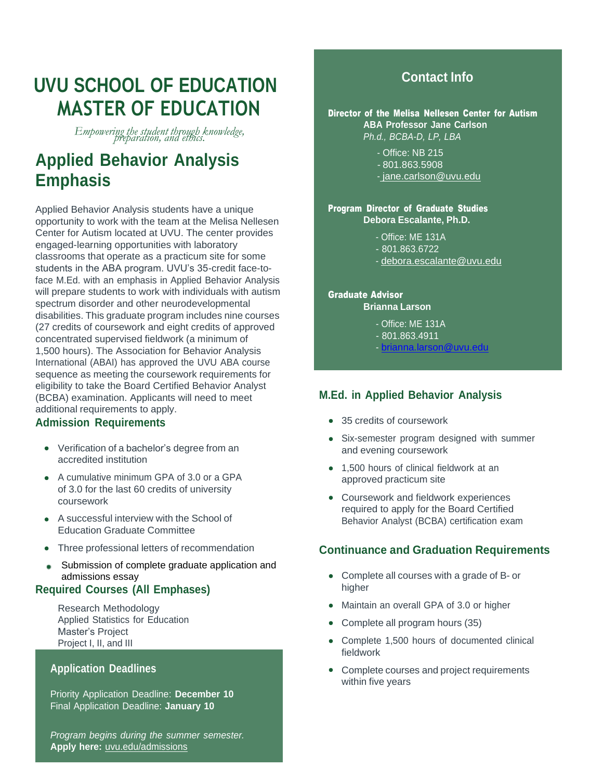# **UVU SCHOOL OF EDUCATION MASTER OF EDUCATION**

*Empowering the student through knowledge, preparation, and ethics.*

# **Applied Behavior Analysis Emphasis**

Applied Behavior Analysis students have a unique opportunity to work with the team at the Melisa Nellesen Center for Autism located at UVU. The center provides engaged-learning opportunities with laboratory classrooms that operate as a practicum site for some students in the ABA program. UVU's 35-credit face-toface M.Ed. with an emphasis in Applied Behavior Analysis will prepare students to work with individuals with autism spectrum disorder and other neurodevelopmental disabilities. This graduate program includes nine courses (27 credits of coursework and eight credits of approved concentrated supervised fieldwork (a minimum of 1,500 hours). The Association for Behavior Analysis International (ABAI) has approved the UVU ABA course sequence as meeting the coursework requirements for eligibility to take the Board Certified Behavior Analyst (BCBA) examination. Applicants will need to meet additional requirements to apply.

### **Admission Requirements**

- Verification of a bachelor's degree from an accredited institution
- A cumulative minimum GPA of 3.0 or a GPA of 3.0 for the last 60 credits of university coursework
- A successful interview with the School of Education Graduate Committee
- Three professional letters of recommendation
- Submission of complete graduate application and admissions essay

## **Required Courses (All Emphases)**

Research Methodology Applied Statistics for Education Master's Project Project I, II, and III

## **Application Deadlines**

Priority Application Deadline: **December 10** Final Application Deadline: **January 10**

*Program begins during the summer semester.* **Apply here:** uvu.edu/admissions

# **Contact Info**

Director of the Melisa Nellesen Center for Autism **ABA Professor Jane Carlson** *Ph.d., BCBA-D, LP, LBA*

- Office: NB 215
- 801.863.5908
- [jane.carlson@uvu.edu](mailto:jane.carlson@uvu.edu)

#### Program Director of Graduate Studies **Debora Escalante, Ph.D.**

- Office: ME 131A
- 801.863.6722
- [debora.escalante@uvu.edu](mailto:debora.escalante@uvu.edu)

#### Graduate Advisor **Brianna Larson**

- Office: ME 131A
- 801.863.4911
- [brianna.larson@uvu.edu](mailto:brianna.larson@uvu.edu)

## **M.Ed. in Applied Behavior Analysis**

- 35 credits of coursework
- Six-semester program designed with summer and evening coursework
- 1,500 hours of clinical fieldwork at an approved practicum site
- Coursework and fieldwork experiences required to apply for the Board Certified Behavior Analyst (BCBA) certification exam

## **Continuance and Graduation Requirements**

- Complete all courses with a grade of B- or higher
- Maintain an overall GPA of 3.0 or higher
- Complete all program hours (35)
- Complete 1,500 hours of documented clinical fieldwork
- Complete courses and project requirements within five years